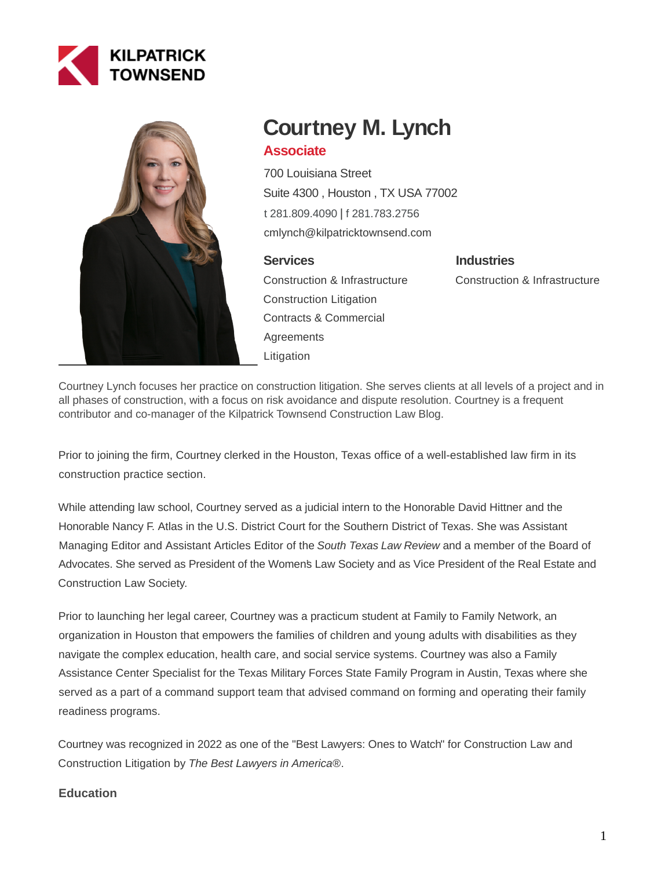



# **Courtney M. Lynch**

# **Associate**

700 Louisiana Street Suite 4300 , Houston , TX USA 77002 [t 281.809.4090](tel:281.809.4090) | [f 281.783.2756](fax:281.783.2756) cmlynch@kilpatricktownsend.com

## **Services**

Construction & Infrastructure Construction Litigation Contracts & Commercial **Agreements** Litigation

**Industries** Construction & Infrastructure

Courtney Lynch focuses her practice on construction litigation. She serves clients at all levels of a project and in all phases of construction, with a focus on risk avoidance and dispute resolution. Courtney is a frequent contributor and co-manager of the Kilpatrick Townsend Construction Law Blog.

Prior to joining the firm, Courtney clerked in the Houston, Texas office of a well-established law firm in its construction practice section.

While attending law school, Courtney served as a judicial intern to the Honorable David Hittner and the Honorable Nancy F. Atlas in the U.S. District Court for the Southern District of Texas. She was Assistant Managing Editor and Assistant Articles Editor of the South Texas Law Review and a member of the Board of Advocates. She served as President of the Women's Law Society and as Vice President of the Real Estate and Construction Law Society.

Prior to launching her legal career, Courtney was a practicum student at Family to Family Network, an organization in Houston that empowers the families of children and young adults with disabilities as they navigate the complex education, health care, and social service systems. Courtney was also a Family Assistance Center Specialist for the Texas Military Forces State Family Program in Austin, Texas where she served as a part of a command support team that advised command on forming and operating their family readiness programs.

Courtney was recognized in 2022 as one of the "Best Lawyers: Ones to Watch" for Construction Law and Construction Litigation by The Best Lawyers in America®.

## **Education**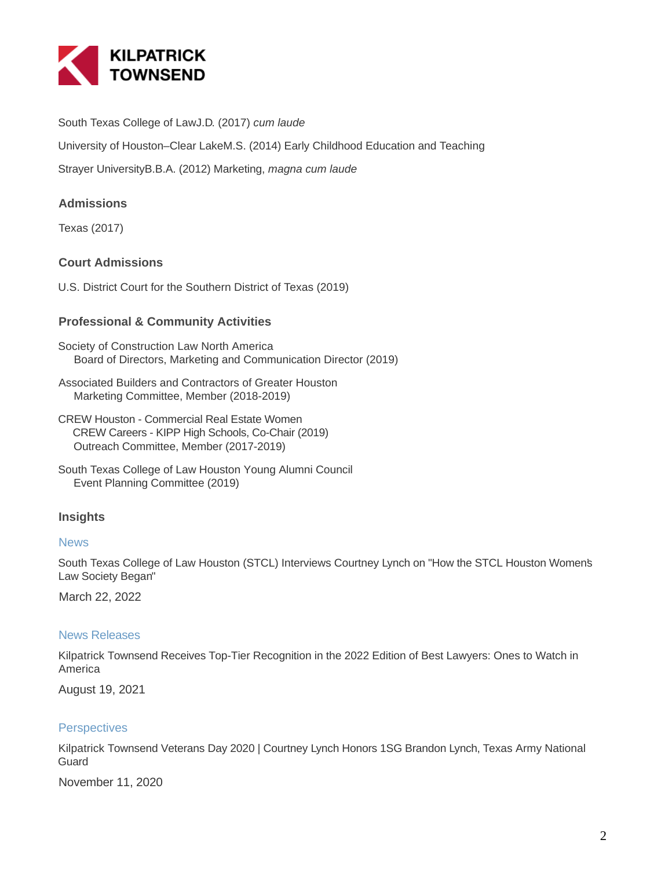

South Texas College of LawJ.D. (2017) cum laude

University of Houston–Clear LakeM.S. (2014) Early Childhood Education and Teaching

Strayer UniversityB.B.A. (2012) Marketing, magna cum laude

## **Admissions**

Texas (2017)

## **Court Admissions**

U.S. District Court for the Southern District of Texas (2019)

### **Professional & Community Activities**

Society of Construction Law North America Board of Directors, Marketing and Communication Director (2019)

Associated Builders and Contractors of Greater Houston Marketing Committee, Member (2018-2019)

CREW Houston - Commercial Real Estate Women CREW Careers - KIPP High Schools, Co-Chair (2019) Outreach Committee, Member (2017-2019)

### **Insights**

#### **News**

South Texas College of Law Houston (STCL) Interviews Courtney Lynch on "How the STCL Houston Women's Law Society Began"

March 22, 2022

#### News Releases

Kilpatrick Townsend Receives Top-Tier Recognition in the 2022 Edition of Best Lawyers: Ones to Watch in America

August 19, 2021

### **Perspectives**

Kilpatrick Townsend Veterans Day 2020 | Courtney Lynch Honors 1SG Brandon Lynch, Texas Army National **Guard** 

November 11, 2020

South Texas College of Law Houston Young Alumni Council Event Planning Committee (2019)